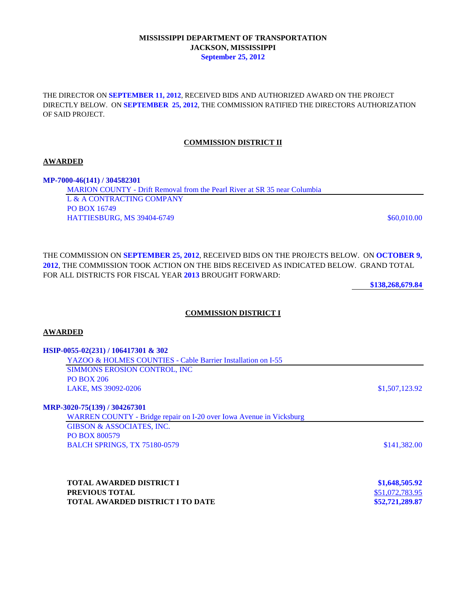# **MISSISSIPPI DEPARTMENT OF TRANSPORTATION JACKSON, MISSISSIPPI September 25, 2012**

THE DIRECTOR ON **SEPTEMBER 11, 2012**, RECEIVED BIDS AND AUTHORIZED AWARD ON THE PROJECT DIRECTLY BELOW. ON **SEPTEMBER 25, 2012**, THE COMMISSION RATIFIED THE DIRECTORS AUTHORIZATION OF SAID PROJECT.

# **COMMISSION DISTRICT II**

### **AWARDED**

**MP-7000-46(141) / 304582301** 

MARION COUNTY - Drift Removal from the Pearl River at SR 35 near Columbia L & A CONTRACTING COMPANY PO BOX 16749 HATTIESBURG, MS 39404-6749 \$60.010.00

THE COMMISSION ON **SEPTEMBER 25, 2012**, RECEIVED BIDS ON THE PROJECTS BELOW. ON **OCTOBER 9, 2012**, THE COMMISSION TOOK ACTION ON THE BIDS RECEIVED AS INDICATED BELOW. GRAND TOTAL FOR ALL DISTRICTS FOR FISCAL YEAR **2013** BROUGHT FORWARD:

**\$138,268,679.84**

### **COMMISSION DISTRICT I**

### **AWARDED**

| HSIP-0055-02(231) / 106417301 & 302                                 |                 |
|---------------------------------------------------------------------|-----------------|
| YAZOO & HOLMES COUNTIES - Cable Barrier Installation on I-55        |                 |
| SIMMONS EROSION CONTROL, INC                                        |                 |
| <b>PO BOX 206</b>                                                   |                 |
| LAKE, MS 39092-0206                                                 | \$1,507,123.92  |
| MRP-3020-75(139) / 304267301                                        |                 |
| WARREN COUNTY - Bridge repair on I-20 over Iowa Avenue in Vicksburg |                 |
| <b>GIBSON &amp; ASSOCIATES, INC.</b>                                |                 |
| <b>PO BOX 800579</b>                                                |                 |
| BALCH SPRINGS, TX 75180-0579                                        | \$141,382.00    |
|                                                                     |                 |
| TOTAL AWARDED DISTRICT I                                            | \$1,648,505.92  |
| <b>PREVIOUS TOTAL</b>                                               | \$51,072,783.95 |
| <b>TOTAL AWARDED DISTRICT I TO DATE</b>                             | \$52,721,289.87 |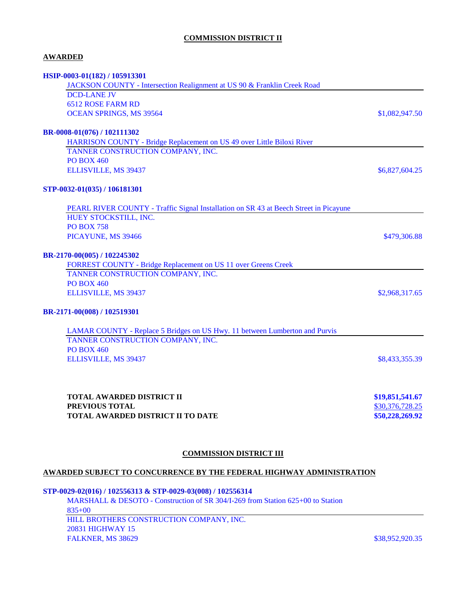# **COMMISSION DISTRICT II**

# **AWARDED**

| HSIP-0003-01(182) / 105913301                                                         |                 |
|---------------------------------------------------------------------------------------|-----------------|
| JACKSON COUNTY - Intersection Realignment at US 90 & Franklin Creek Road              |                 |
| <b>DCD-LANE JV</b>                                                                    |                 |
| <b>6512 ROSE FARM RD</b>                                                              |                 |
| OCEAN SPRINGS, MS 39564                                                               | \$1,082,947.50  |
| BR-0008-01(076) / 102111302                                                           |                 |
| HARRISON COUNTY - Bridge Replacement on US 49 over Little Biloxi River                |                 |
| TANNER CONSTRUCTION COMPANY, INC.                                                     |                 |
| <b>PO BOX 460</b>                                                                     |                 |
| ELLISVILLE, MS 39437                                                                  | \$6,827,604.25  |
| STP-0032-01(035) / 106181301                                                          |                 |
| PEARL RIVER COUNTY - Traffic Signal Installation on SR 43 at Beech Street in Picayune |                 |
| HUEY STOCKSTILL, INC.                                                                 |                 |
| <b>PO BOX 758</b>                                                                     |                 |
| PICAYUNE, MS 39466                                                                    | \$479,306.88    |
| BR-2170-00(005) / 102245302                                                           |                 |
| FORREST COUNTY - Bridge Replacement on US 11 over Greens Creek                        |                 |
| TANNER CONSTRUCTION COMPANY, INC.                                                     |                 |
| <b>PO BOX 460</b>                                                                     |                 |
| ELLISVILLE, MS 39437                                                                  | \$2,968,317.65  |
| BR-2171-00(008) / 102519301                                                           |                 |
| LAMAR COUNTY - Replace 5 Bridges on US Hwy. 11 between Lumberton and Purvis           |                 |
| TANNER CONSTRUCTION COMPANY, INC.                                                     |                 |
| <b>PO BOX 460</b>                                                                     |                 |
| <b>ELLISVILLE, MS 39437</b>                                                           | \$8,433,355.39  |
| <b>TOTAL AWARDED DISTRICT II</b>                                                      | \$19,851,541.67 |
| PREVIOUS TOTAL                                                                        | \$30,376,728.25 |
| <b>TOTAL AWARDED DISTRICT II TO DATE</b>                                              | \$50,228,269.92 |
|                                                                                       |                 |
| <b>COMMISSION DISTRICT III</b>                                                        |                 |
| AWARDED SUBJECT TO CONCURRENCE BY THE FEDERAL HIGHWAY ADMINISTRATION                  |                 |
|                                                                                       |                 |
| STP-0029-02(016) / 102556313 & STP-0029-03(008) / 102556314                           |                 |

MARSHALL & DESOTO - Construction of SR 304/I-269 from Station 625+00 to Station 835+00 HILL BROTHERS CONSTRUCTION COMPANY, INC. 20831 HIGHWAY 15 FALKNER, MS 38629 \$38,952,920.35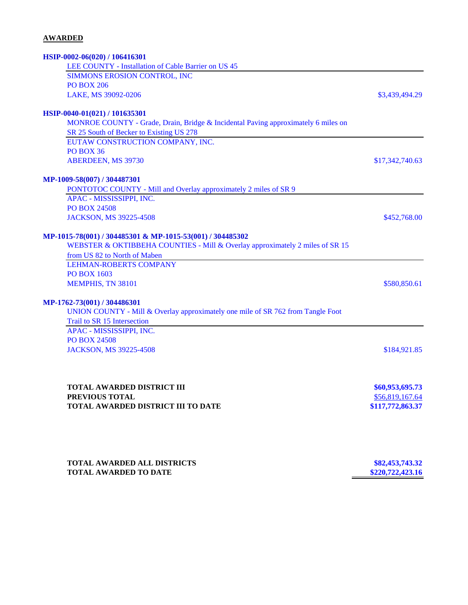# **AWARDED**

| HSIP-0002-06(020) / 106416301                                                     |                  |
|-----------------------------------------------------------------------------------|------------------|
| LEE COUNTY - Installation of Cable Barrier on US 45                               |                  |
| <b>SIMMONS EROSION CONTROL, INC</b>                                               |                  |
| <b>PO BOX 206</b>                                                                 |                  |
| LAKE, MS 39092-0206                                                               | \$3,439,494.29   |
| HSIP-0040-01(021) / 101635301                                                     |                  |
| MONROE COUNTY - Grade, Drain, Bridge & Incidental Paving approximately 6 miles on |                  |
| SR 25 South of Becker to Existing US 278                                          |                  |
| EUTAW CONSTRUCTION COMPANY, INC.                                                  |                  |
| <b>PO BOX 36</b>                                                                  |                  |
| <b>ABERDEEN, MS 39730</b>                                                         | \$17,342,740.63  |
| MP-1009-58(007) / 304487301                                                       |                  |
| PONTOTOC COUNTY - Mill and Overlay approximately 2 miles of SR 9                  |                  |
| APAC - MISSISSIPPI, INC.                                                          |                  |
| <b>PO BOX 24508</b>                                                               |                  |
| JACKSON, MS 39225-4508                                                            | \$452,768.00     |
| MP-1015-78(001) / 304485301 & MP-1015-53(001) / 304485302                         |                  |
| WEBSTER & OKTIBBEHA COUNTIES - Mill & Overlay approximately 2 miles of SR 15      |                  |
| from US 82 to North of Maben                                                      |                  |
| <b>LEHMAN-ROBERTS COMPANY</b>                                                     |                  |
| <b>PO BOX 1603</b>                                                                |                  |
| MEMPHIS, TN 38101                                                                 | \$580,850.61     |
| MP-1762-73(001) / 304486301                                                       |                  |
| UNION COUNTY - Mill & Overlay approximately one mile of SR 762 from Tangle Foot   |                  |
| Trail to SR 15 Intersection                                                       |                  |
| APAC - MISSISSIPPI, INC.                                                          |                  |
| <b>PO BOX 24508</b>                                                               |                  |
| JACKSON, MS 39225-4508                                                            | \$184,921.85     |
|                                                                                   |                  |
|                                                                                   |                  |
| <b>TOTAL AWARDED DISTRICT III</b>                                                 | \$60,953,695.73  |
| PREVIOUS TOTAL                                                                    | \$56,819,167.64  |
| <b>TOTAL AWARDED DISTRICT III TO DATE</b>                                         | \$117,772,863.37 |
|                                                                                   |                  |
|                                                                                   |                  |

| <b>TOTAL AWARDED ALL DISTRICTS</b> | \$82,453,743.32  |
|------------------------------------|------------------|
| <b>TOTAL AWARDED TO DATE</b>       | \$220,722,423.16 |